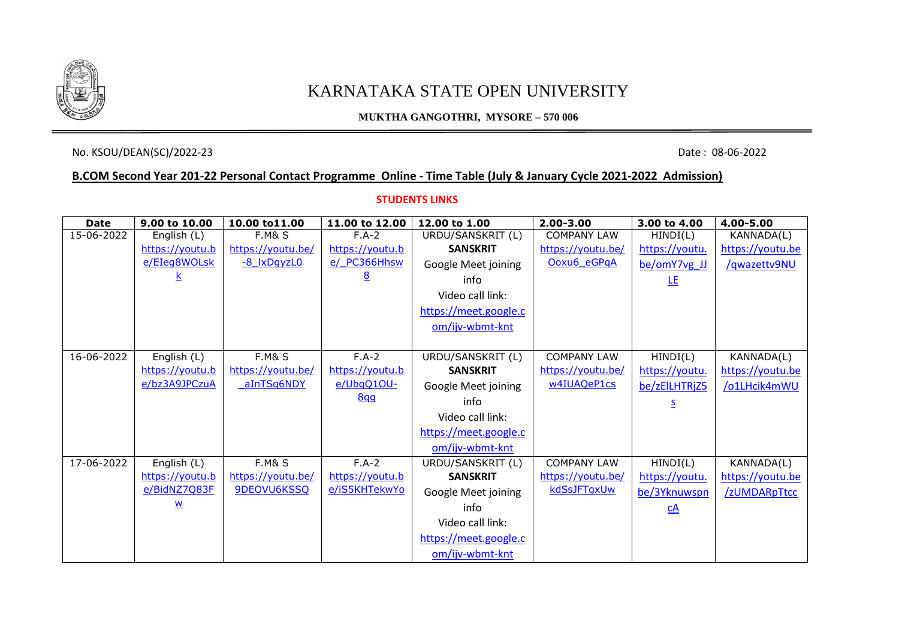

# KARNATAKA STATE OPEN UNIVERSITY

### **MUKTHA GANGOTHRI, MYSORE – 570 006**

## No. KSOU/DEAN(SC)/2022-23 Date: 08-06-2022

## **B.COM Second Year 201-22 Personal Contact Programme Online - Time Table (July & January Cycle 2021-2022 Admission)**

#### **STUDENTS LINKS**

| Date       | 9.00 to 10.00   | 10.00 to 11.00    | 11.00 to 12.00  | 12.00 to 1.00         | $2.00 - 3.00$      | 3.00 to 4.00                 | 4.00-5.00        |
|------------|-----------------|-------------------|-----------------|-----------------------|--------------------|------------------------------|------------------|
| 15-06-2022 | English (L)     | <b>F.M&amp; S</b> | $F.A-2$         | URDU/SANSKRIT (L)     | <b>COMPANY LAW</b> | HINDI(L)                     | KANNADA(L)       |
|            | https://youtu.b | https://youtu.be/ | https://youtu.b | <b>SANSKRIT</b>       | https://youtu.be/  | https://youtu.               | https://youtu.be |
|            | e/EIeg8WOLsk    | -8  xDqyzL0       | e/ PC366Hhsw    | Google Meet joining   | Ooxu6 eGPqA        | be/omY7vg_JJ                 | /qwazettv9NU     |
|            |                 |                   | 8               | info                  |                    | 匡                            |                  |
|            |                 |                   |                 | Video call link:      |                    |                              |                  |
|            |                 |                   |                 | https://meet.google.c |                    |                              |                  |
|            |                 |                   |                 | om/ijv-wbmt-knt       |                    |                              |                  |
|            |                 |                   |                 |                       |                    |                              |                  |
| 16-06-2022 | English (L)     | <b>F.M&amp; S</b> | $F.A-2$         | URDU/SANSKRIT (L)     | <b>COMPANY LAW</b> | HINDI(L)                     | KANNADA(L)       |
|            | https://youtu.b | https://youtu.be/ | https://youtu.b | <b>SANSKRIT</b>       | https://youtu.be/  | https://youtu.               | https://youtu.be |
|            | e/bz3A9JPCzuA   | aInTSq6NDY        | e/UbgQ1OU-      | Google Meet joining   | w4IUAQeP1cs        | be/zEILHTRjZ5                | /o1LHcik4mWU     |
|            |                 |                   | 8qq             | info                  |                    |                              |                  |
|            |                 |                   |                 | Video call link:      |                    |                              |                  |
|            |                 |                   |                 | https://meet.google.c |                    |                              |                  |
|            |                 |                   |                 | om/ijv-wbmt-knt       |                    |                              |                  |
| 17-06-2022 | English (L)     | <b>F.M&amp; S</b> | $F.A-2$         | URDU/SANSKRIT (L)     | <b>COMPANY LAW</b> | HINDI(L)                     | KANNADA(L)       |
|            | https://youtu.b | https://youtu.be/ | https://youtu.b | <b>SANSKRIT</b>       | https://youtu.be/  | https://youtu.               | https://youtu.be |
|            | e/BidNZ7Q83F    | 9DEOVU6KSSQ       | e/iS5KHTekwYo   | Google Meet joining   | kdSsJFTqxUw        | be/3Yknuwspn                 | /zUMDARpTtcc     |
|            | W               |                   |                 | info                  |                    | $\underline{c}\underline{A}$ |                  |
|            |                 |                   |                 | Video call link:      |                    |                              |                  |
|            |                 |                   |                 | https://meet.google.c |                    |                              |                  |
|            |                 |                   |                 | om/ijv-wbmt-knt       |                    |                              |                  |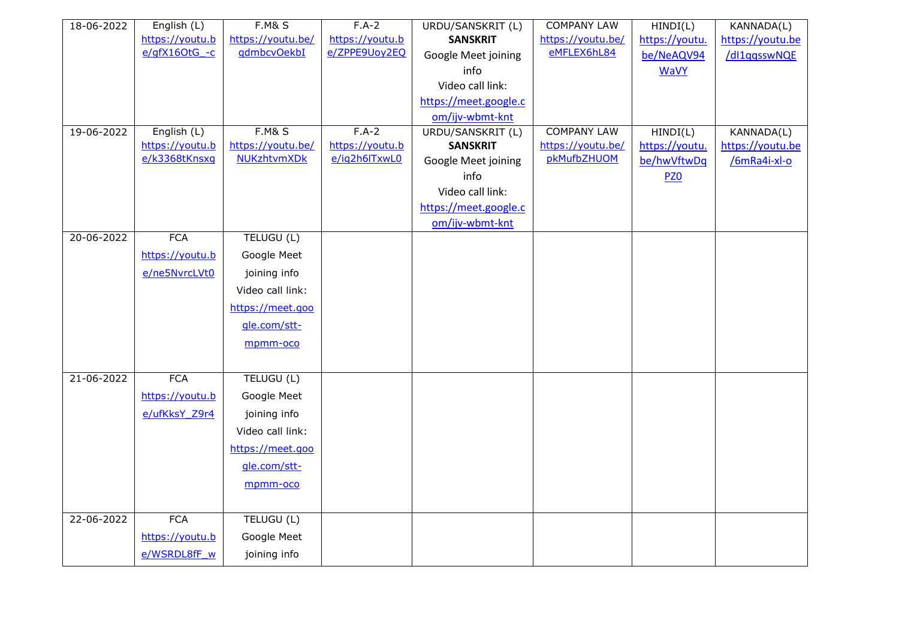| 18-06-2022 | English (L)     | <b>F.M&amp; S</b> | $F.A-2$         | URDU/SANSKRIT (L)     | <b>COMPANY LAW</b> | HINDI(L)        | KANNADA(L)       |
|------------|-----------------|-------------------|-----------------|-----------------------|--------------------|-----------------|------------------|
|            | https://youtu.b | https://youtu.be/ | https://youtu.b | <b>SANSKRIT</b>       | https://youtu.be/  | https://youtu.  | https://youtu.be |
|            | $e/qfX16OtG -c$ | gdmbcvOekbI       | e/ZPPE9Uoy2EQ   | Google Meet joining   | eMFLEX6hL84        | be/NeAQV94      | /dl1qqsswNQE     |
|            |                 |                   |                 | info                  |                    | <b>WaVY</b>     |                  |
|            |                 |                   |                 | Video call link:      |                    |                 |                  |
|            |                 |                   |                 | https://meet.google.c |                    |                 |                  |
|            |                 |                   |                 | om/ijv-wbmt-knt       |                    |                 |                  |
| 19-06-2022 | English (L)     | <b>F.M&amp; S</b> | $F.A-2$         | URDU/SANSKRIT (L)     | <b>COMPANY LAW</b> | HINDI(L)        | KANNADA(L)       |
|            | https://youtu.b | https://youtu.be/ | https://youtu.b | <b>SANSKRIT</b>       | https://youtu.be/  | https://youtu.  | https://youtu.be |
|            | e/k3368tKnsxq   | NUKzhtvmXDk       | e/ig2h6lTxwL0   | Google Meet joining   | pkMufbZHUOM        | be/hwVftwDq     | /6mRa4i-xl-o     |
|            |                 |                   |                 | info                  |                    | PZ <sub>0</sub> |                  |
|            |                 |                   |                 | Video call link:      |                    |                 |                  |
|            |                 |                   |                 | https://meet.google.c |                    |                 |                  |
|            |                 |                   |                 | om/ijv-wbmt-knt       |                    |                 |                  |
| 20-06-2022 | <b>FCA</b>      | TELUGU (L)        |                 |                       |                    |                 |                  |
|            | https://youtu.b | Google Meet       |                 |                       |                    |                 |                  |
|            | e/ne5NvrcLVt0   | joining info      |                 |                       |                    |                 |                  |
|            |                 | Video call link:  |                 |                       |                    |                 |                  |
|            |                 | https://meet.goo  |                 |                       |                    |                 |                  |
|            |                 | gle.com/stt-      |                 |                       |                    |                 |                  |
|            |                 | mpmm-oco          |                 |                       |                    |                 |                  |
|            |                 |                   |                 |                       |                    |                 |                  |
| 21-06-2022 | <b>FCA</b>      | TELUGU (L)        |                 |                       |                    |                 |                  |
|            | https://youtu.b | Google Meet       |                 |                       |                    |                 |                  |
|            | e/ufKksY Z9r4   | joining info      |                 |                       |                    |                 |                  |
|            |                 |                   |                 |                       |                    |                 |                  |
|            |                 | Video call link:  |                 |                       |                    |                 |                  |
|            |                 | https://meet.goo  |                 |                       |                    |                 |                  |
|            |                 | gle.com/stt-      |                 |                       |                    |                 |                  |
|            |                 | mpmm-oco          |                 |                       |                    |                 |                  |
|            |                 |                   |                 |                       |                    |                 |                  |
| 22-06-2022 | <b>FCA</b>      | TELUGU (L)        |                 |                       |                    |                 |                  |
|            | https://youtu.b | Google Meet       |                 |                       |                    |                 |                  |
|            | e/WSRDL8fF w    | joining info      |                 |                       |                    |                 |                  |